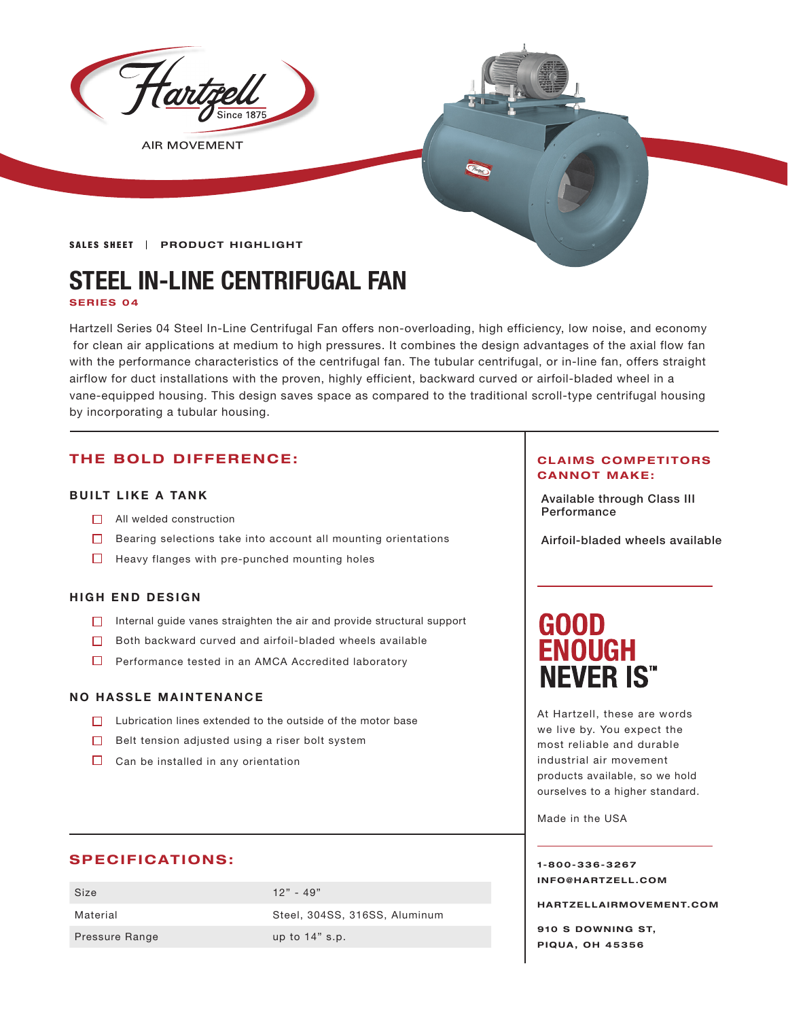

**AIR MOVEMENT** 

#### SALES SHEET | PRODUCT HIGHLIGHT

# **STEEL IN-LINE CENTRIFUGAL FAN SERIES 04**

Hartzell Series 04 Steel In-Line Centrifugal Fan offers non-overloading, high efficiency, low noise, and economy for clean air applications at medium to high pressures. It combines the design advantages of the axial flow fan with the performance characteristics of the centrifugal fan. The tubular centrifugal, or in-line fan, offers straight airflow for duct installations with the proven, highly efficient, backward curved or airfoil-bladed wheel in a vane-equipped housing. This design saves space as compared to the traditional scroll-type centrifugal housing by incorporating a tubular housing.

# **THE BOLD DIFFERENCE:**

## **BUILT LIKE A TANK**

- $\Box$  All welded construction
- Bearing selections take into account all mounting orientations
- $\Box$  Heavy flanges with pre-punched mounting holes

#### **HIGH END DESIGN**

- $\Box$  Internal guide vanes straighten the air and provide structural support
- $\Box$  Both backward curved and airfoil-bladed wheels available
- □ Performance tested in an AMCA Accredited laboratory

#### **NO HASSLE MAINTENANCE**

- $\Box$  Lubrication lines extended to the outside of the motor base
- $\Box$  Belt tension adjusted using a riser bolt system
- $\Box$  Can be installed in any orientation

# **SPECIFICATIONS:**

| Size           | $12" - 49"$                   |
|----------------|-------------------------------|
| Material       | Steel, 304SS, 316SS, Aluminum |
| Pressure Range | up to $14"$ s.p.              |

#### **CLAIMS COMPETITORS CANNOT MAKE:**

Available through Class III

Airfoil-bladed wheels available

# **GOOD ENOUGH NEVER IS"**

At Hartzell, these are words we live by. You expect the most reliable and durable industrial air movement products available, so we hold ourselves to a higher standard.

Made in the USA

**1-800-336-3267 I N F O @ H A R T Z E L L . C OM** 

**HARTZELLA IRMOVEMENT.COM**

**910 S DOWNING ST, PIQUA, OH 45356**